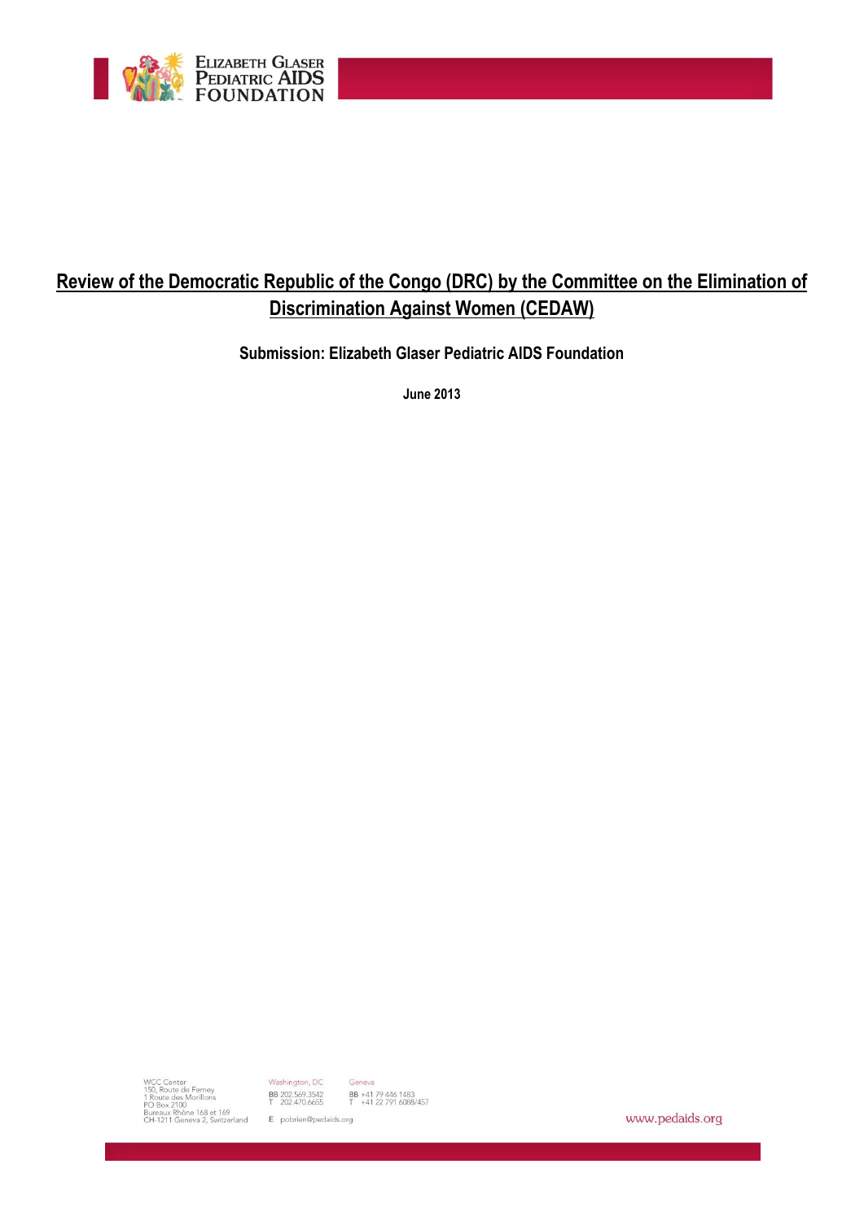

# **Review of the Democratic Republic of the Congo (DRC) by the Committee on the Elimination of Discrimination Against Women (CEDAW)**

**Submission: Elizabeth Glaser Pediatric AIDS Foundation**

**June 2013**

WCC Center<br>150, Route de Ferney<br>1 Route des Morillons<br>PO Box 2100<br>Bureaux Rhône 168 et 169<br>CH-1211 Geneva 2, Switzerland<br>CH-1211 Geneva 2, Switzerland<br>CH-1211 Geneva 2, Switzerland<br>Epobrien@pedaids.org

Geneva

BB +41 79 446 1483<br>T +41 22 791 6088/457

www.pedaids.org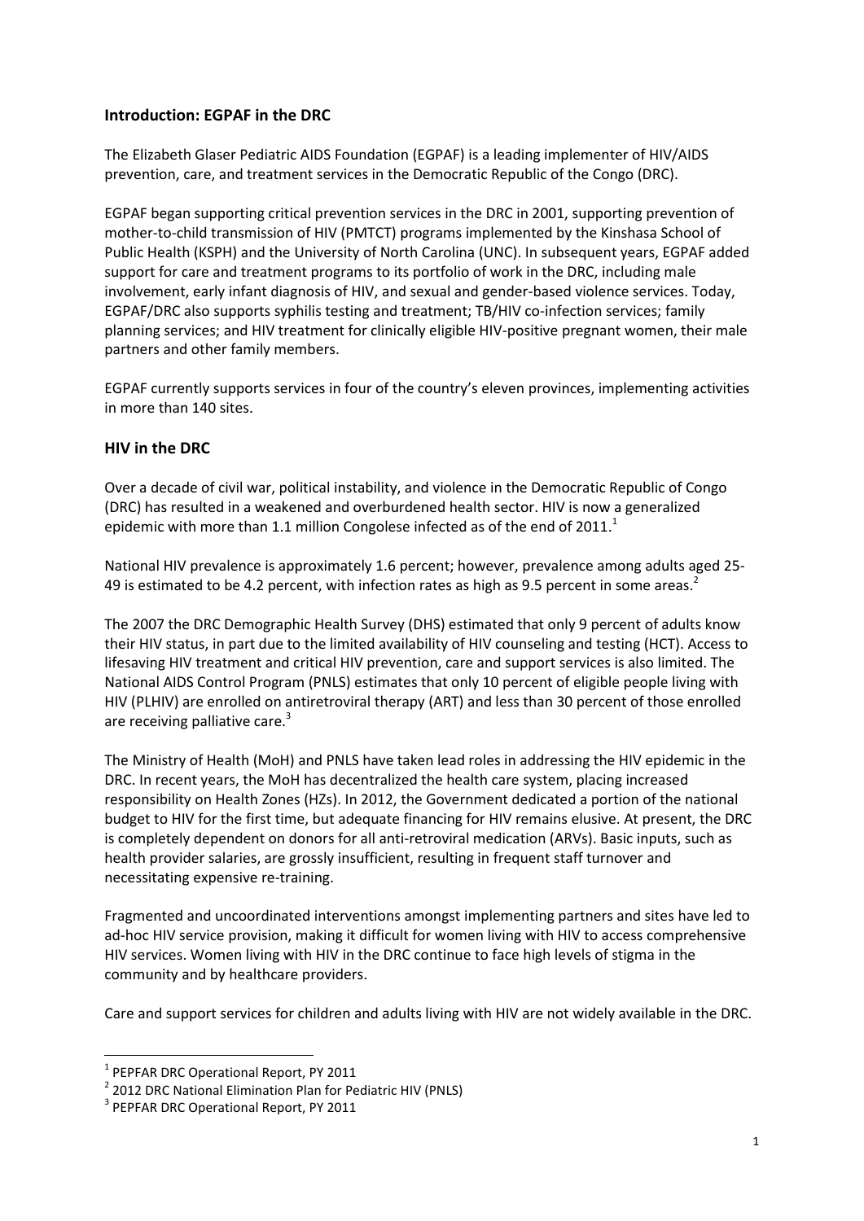## **Introduction: EGPAF in the DRC**

The Elizabeth Glaser Pediatric AIDS Foundation (EGPAF) is a leading implementer of HIV/AIDS prevention, care, and treatment services in the Democratic Republic of the Congo (DRC).

EGPAF began supporting critical prevention services in the DRC in 2001, supporting prevention of mother-to-child transmission of HIV (PMTCT) programs implemented by the Kinshasa School of Public Health (KSPH) and the University of North Carolina (UNC). In subsequent years, EGPAF added support for care and treatment programs to its portfolio of work in the DRC, including male involvement, early infant diagnosis of HIV, and sexual and gender-based violence services. Today, EGPAF/DRC also supports syphilis testing and treatment; TB/HIV co-infection services; family planning services; and HIV treatment for clinically eligible HIV-positive pregnant women, their male partners and other family members.

EGPAF currently supports services in four of the country's eleven provinces, implementing activities in more than 140 sites.

## **HIV in the DRC**

Over a decade of civil war, political instability, and violence in the Democratic Republic of Congo (DRC) has resulted in a weakened and overburdened health sector. HIV is now a generalized epidemic with more than 1.1 million Congolese infected as of the end of  $2011$ .<sup>1</sup>

National HIV prevalence is approximately 1.6 percent; however, prevalence among adults aged 25- 49 is estimated to be 4.2 percent, with infection rates as high as 9.5 percent in some areas.<sup>2</sup>

The 2007 the DRC Demographic Health Survey (DHS) estimated that only 9 percent of adults know their HIV status, in part due to the limited availability of HIV counseling and testing (HCT). Access to lifesaving HIV treatment and critical HIV prevention, care and support services is also limited. The National AIDS Control Program (PNLS) estimates that only 10 percent of eligible people living with HIV (PLHIV) are enrolled on antiretroviral therapy (ART) and less than 30 percent of those enrolled are receiving palliative care.<sup>3</sup>

The Ministry of Health (MoH) and PNLS have taken lead roles in addressing the HIV epidemic in the DRC. In recent years, the MoH has decentralized the health care system, placing increased responsibility on Health Zones (HZs). In 2012, the Government dedicated a portion of the national budget to HIV for the first time, but adequate financing for HIV remains elusive. At present, the DRC is completely dependent on donors for all anti-retroviral medication (ARVs). Basic inputs, such as health provider salaries, are grossly insufficient, resulting in frequent staff turnover and necessitating expensive re-training.

Fragmented and uncoordinated interventions amongst implementing partners and sites have led to ad-hoc HIV service provision, making it difficult for women living with HIV to access comprehensive HIV services. Women living with HIV in the DRC continue to face high levels of stigma in the community and by healthcare providers.

Care and support services for children and adults living with HIV are not widely available in the DRC.

**.** 

<sup>&</sup>lt;sup>1</sup> PEPFAR DRC Operational Report, PY 2011

<sup>&</sup>lt;sup>2</sup> 2012 DRC National Elimination Plan for Pediatric HIV (PNLS)

<sup>&</sup>lt;sup>3</sup> PEPFAR DRC Operational Report, PY 2011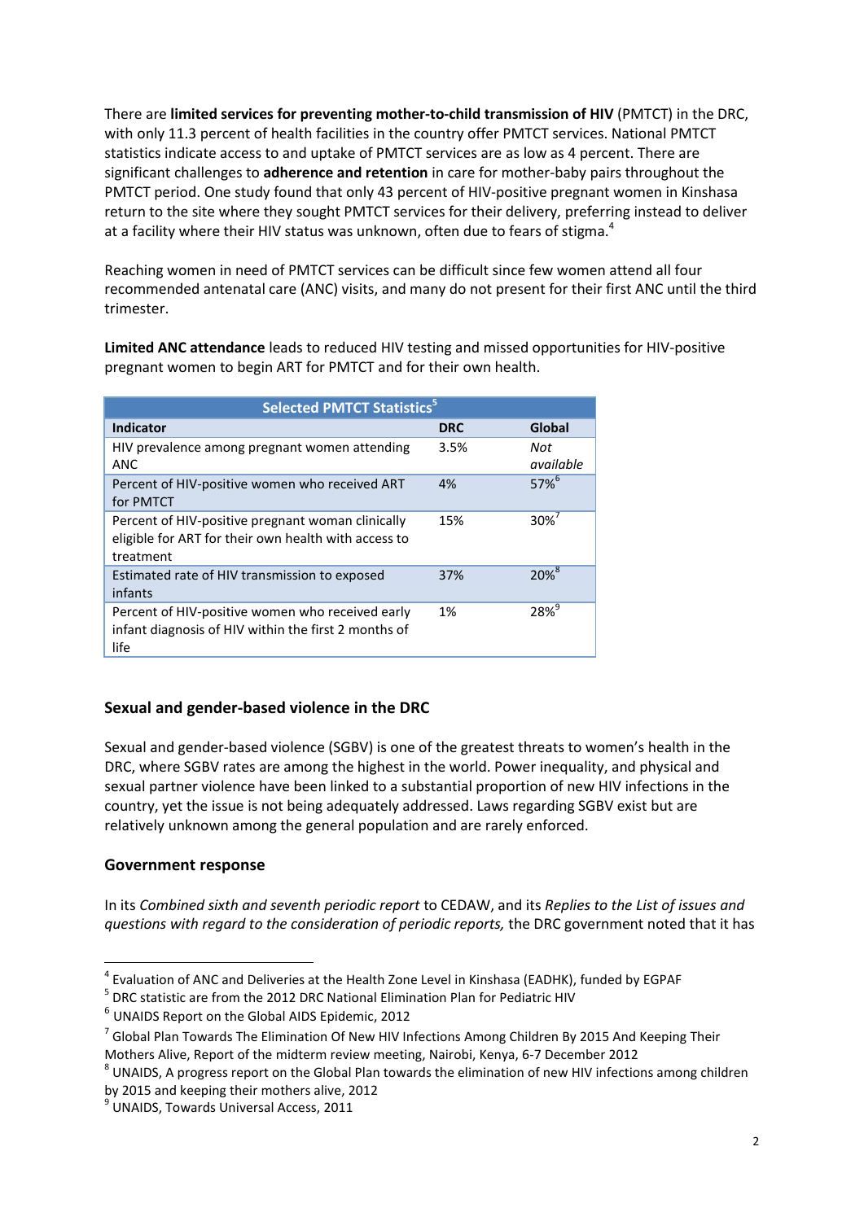There are **limited services for preventing mother-to-child transmission of HIV** (PMTCT) in the DRC, with only 11.3 percent of health facilities in the country offer PMTCT services. National PMTCT statistics indicate access to and uptake of PMTCT services are as low as 4 percent. There are significant challenges to **adherence and retention** in care for mother-baby pairs throughout the PMTCT period. One study found that only 43 percent of HIV-positive pregnant women in Kinshasa return to the site where they sought PMTCT services for their delivery, preferring instead to deliver at a facility where their HIV status was unknown, often due to fears of stigma. $4$ 

Reaching women in need of PMTCT services can be difficult since few women attend all four recommended antenatal care (ANC) visits, and many do not present for their first ANC until the third trimester.

**Limited ANC attendance** leads to reduced HIV testing and missed opportunities for HIV-positive pregnant women to begin ART for PMTCT and for their own health.

| <b>Selected PMTCT Statistics<sup>5</sup></b>                                                                           |            |                  |
|------------------------------------------------------------------------------------------------------------------------|------------|------------------|
| <b>Indicator</b>                                                                                                       | <b>DRC</b> | Global           |
| HIV prevalence among pregnant women attending<br><b>ANC</b>                                                            | 3.5%       | Not<br>available |
| Percent of HIV-positive women who received ART<br>for PMTCT                                                            | 4%         | $57%^{6}$        |
| Percent of HIV-positive pregnant woman clinically<br>eligible for ART for their own health with access to<br>treatment | 15%        | 30% <sup>1</sup> |
| Estimated rate of HIV transmission to exposed<br>infants                                                               | 37%        | 20% <sup>8</sup> |
| Percent of HIV-positive women who received early<br>infant diagnosis of HIV within the first 2 months of<br>life       | 1%         | 28%              |

## **Sexual and gender-based violence in the DRC**

Sexual and gender-based violence (SGBV) is one of the greatest threats to women's health in the DRC, where SGBV rates are among the highest in the world. Power inequality, and physical and sexual partner violence have been linked to a substantial proportion of new HIV infections in the country, yet the issue is not being adequately addressed. Laws regarding SGBV exist but are relatively unknown among the general population and are rarely enforced.

## **Government response**

In its *Combined sixth and seventh periodic report* to CEDAW, and its *Replies to the List of issues and questions with regard to the consideration of periodic reports,* the DRC government noted that it has

**<sup>.</sup>** <sup>4</sup> Evaluation of ANC and Deliveries at the Health Zone Level in Kinshasa (EADHK), funded by EGPAF

<sup>&</sup>lt;sup>5</sup> DRC statistic are from the 2012 DRC National Elimination Plan for Pediatric HIV

<sup>6</sup> UNAIDS Report on the Global AIDS Epidemic, 2012

 $^7$  Global Plan Towards The Elimination Of New HIV Infections Among Children By 2015 And Keeping Their Mothers Alive, Report of the midterm review meeting, Nairobi, Kenya, 6-7 December 2012

 $^8$  UNAIDS, A progress report on the Global Plan towards the elimination of new HIV infections among children by 2015 and keeping their mothers alive, 2012

<sup>9</sup> UNAIDS, Towards Universal Access, 2011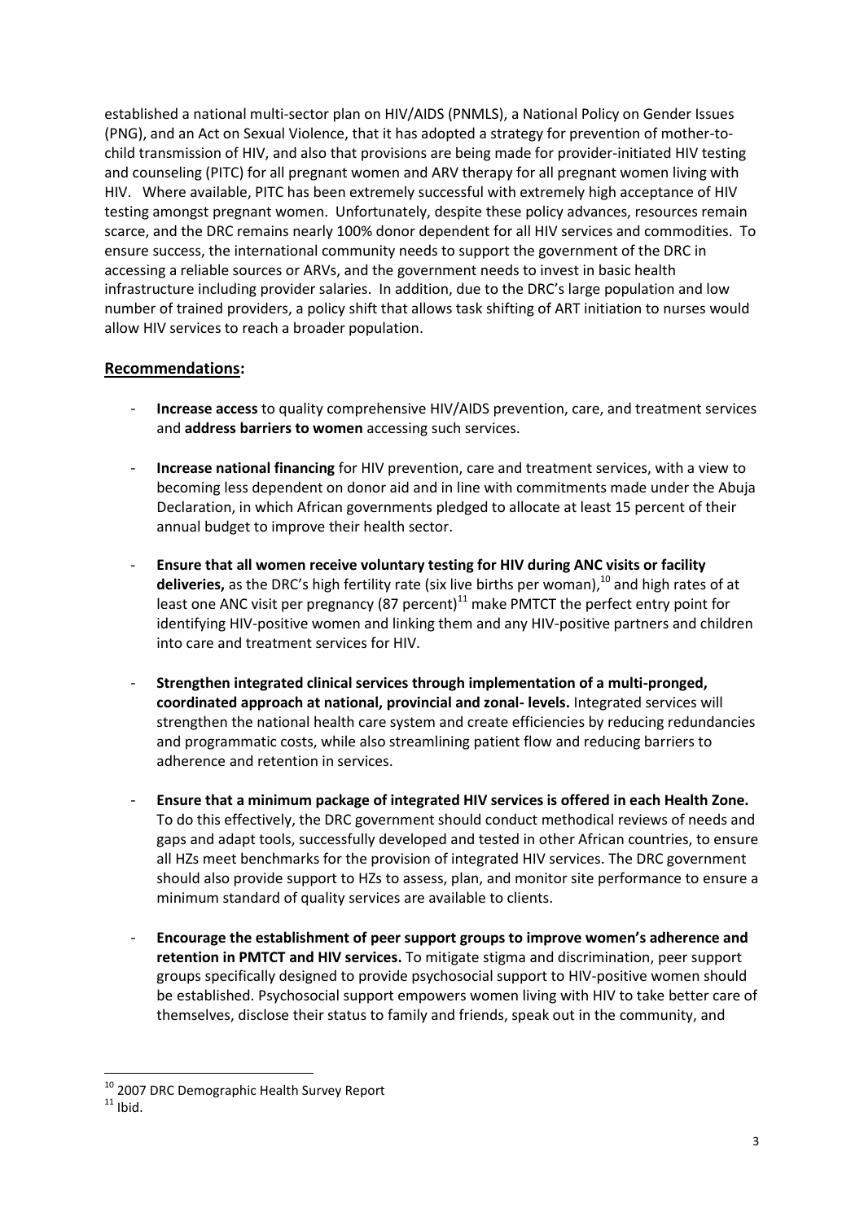established a national multi-sector plan on HIV/AIDS (PNMLS), a National Policy on Gender Issues (PNG), and an Act on Sexual Violence, that it has adopted a strategy for prevention of mother-tochild transmission of HIV, and also that provisions are being made for provider-initiated HIV testing and counseling (PITC) for all pregnant women and ARV therapy for all pregnant women living with HIV. Where available, PITC has been extremely successful with extremely high acceptance of HIV testing amongst pregnant women. Unfortunately, despite these policy advances, resources remain scarce, and the DRC remains nearly 100% donor dependent for all HIV services and commodities. To ensure success, the international community needs to support the government of the DRC in accessing a reliable sources or ARVs, and the government needs to invest in basic health infrastructure including provider salaries. In addition, due to the DRC's large population and low number of trained providers, a policy shift that allows task shifting of ART initiation to nurses would allow HIV services to reach a broader population.

## **Recommendations:**

- **Increase access** to quality comprehensive HIV/AIDS prevention, care, and treatment services and **address barriers to women** accessing such services.
- **Increase national financing** for HIV prevention, care and treatment services, with a view to becoming less dependent on donor aid and in line with commitments made under the Abuja Declaration, in which African governments pledged to allocate at least 15 percent of their annual budget to improve their health sector.
- **Ensure that all women receive voluntary testing for HIV during ANC visits or facility deliveries,** as the DRC's high fertility rate (six live births per woman),<sup>10</sup> and high rates of at least one ANC visit per pregnancy (87 percent) $^{11}$  make PMTCT the perfect entry point for identifying HIV-positive women and linking them and any HIV-positive partners and children into care and treatment services for HIV.
- **Strengthen integrated clinical services through implementation of a multi-pronged, coordinated approach at national, provincial and zonal- levels.** Integrated services will strengthen the national health care system and create efficiencies by reducing redundancies and programmatic costs, while also streamlining patient flow and reducing barriers to adherence and retention in services.
- **Ensure that a minimum package of integrated HIV services is offered in each Health Zone.** To do this effectively, the DRC government should conduct methodical reviews of needs and gaps and adapt tools, successfully developed and tested in other African countries, to ensure all HZs meet benchmarks for the provision of integrated HIV services. The DRC government should also provide support to HZs to assess, plan, and monitor site performance to ensure a minimum standard of quality services are available to clients.
- **Encourage the establishment of peer support groups to improve women's adherence and retention in PMTCT and HIV services.** To mitigate stigma and discrimination, peer support groups specifically designed to provide psychosocial support to HIV-positive women should be established. Psychosocial support empowers women living with HIV to take better care of themselves, disclose their status to family and friends, speak out in the community, and

**.** 

<sup>&</sup>lt;sup>10</sup> 2007 DRC Demographic Health Survey Report

 $11$  Ibid.